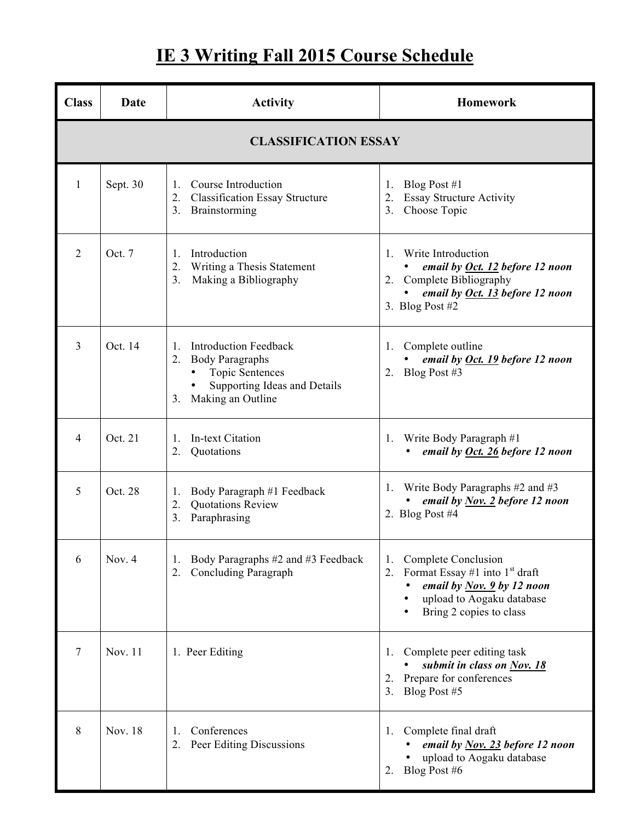## **IE 3 Writing Fall 2015 Course Schedule**

| <b>Class</b>                | Date     | <b>Activity</b>                                                                                                                                                     | <b>Homework</b>                                                                                                                                                    |  |
|-----------------------------|----------|---------------------------------------------------------------------------------------------------------------------------------------------------------------------|--------------------------------------------------------------------------------------------------------------------------------------------------------------------|--|
| <b>CLASSIFICATION ESSAY</b> |          |                                                                                                                                                                     |                                                                                                                                                                    |  |
| 1                           | Sept. 30 | Course Introduction<br>$\mathbf{1}$ .<br><b>Classification Essay Structure</b><br>2.<br>Brainstorming<br>3.                                                         | Blog Post $#1$<br>1.<br>Essay Structure Activity<br>2.<br>3 <sub>1</sub><br>Choose Topic                                                                           |  |
| $\overline{2}$              | Oct. 7   | Introduction<br>$\mathbf{1}_{\cdot}$<br>Writing a Thesis Statement<br>2.<br>Making a Bibliography<br>3 <sub>1</sub>                                                 | Write Introduction<br>$\mathbf{1}$ .<br>email by <u>Oct. 12</u> before 12 noon<br>2. Complete Bibliography<br>email by Oct. 13 before 12 noon<br>3. Blog Post $#2$ |  |
| 3                           | Oct. 14  | <b>Introduction Feedback</b><br>$\mathbf{1}$ .<br><b>Body Paragraphs</b><br>2.<br><b>Topic Sentences</b><br>Supporting Ideas and Details<br>Making an Outline<br>3. | 1. Complete outline<br>email by Oct. 19 before 12 noon<br>2. Blog Post #3                                                                                          |  |
| $\overline{4}$              | Oct. 21  | In-text Citation<br>$\mathbf{1}$ .<br>Quotations<br>2.                                                                                                              | Write Body Paragraph #1<br>1.<br>email by Oct. 26 before 12 noon                                                                                                   |  |
| 5                           | Oct. 28  | Body Paragraph #1 Feedback<br>1.<br>Quotations Review<br>2.<br>Paraphrasing<br>3.                                                                                   | Write Body Paragraphs $#2$ and $#3$<br>$\perp$ .<br>email by $Nov. 2$ before 12 noon<br>2. Blog Post $#4$                                                          |  |
| 6                           | Nov. 4   | Body Paragraphs #2 and #3 Feedback<br>1.<br>Concluding Paragraph<br>2.                                                                                              | Complete Conclusion<br>1.<br>Format Essay #1 into $1st$ draft<br>2.<br>email by $Nov$ , 9 by 12 noon<br>upload to Aogaku database<br>Bring 2 copies to class       |  |
| 7                           | Nov. 11  | 1. Peer Editing                                                                                                                                                     | Complete peer editing task<br>1.<br>submit in class on Nov. 18<br>Prepare for conferences<br>2.<br>Blog Post #5<br>3.                                              |  |
| 8                           | Nov. 18  | Conferences<br>1.<br>Peer Editing Discussions<br>2.                                                                                                                 | Complete final draft<br>1.<br>email by <u>Nov. 23</u> before 12 noon<br>upload to Aogaku database<br>Blog Post #6<br>2.                                            |  |